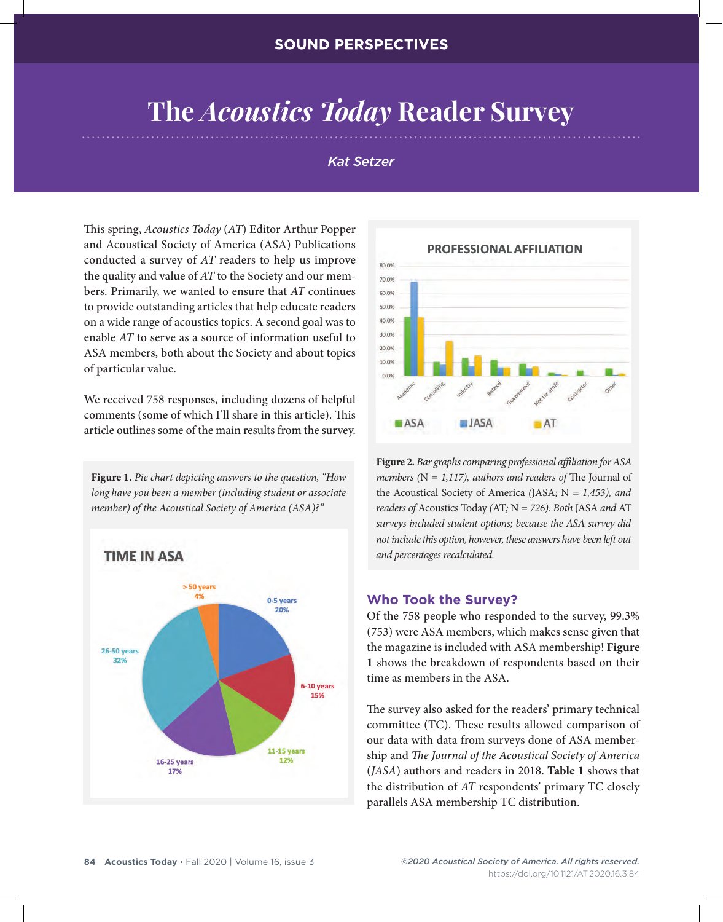# **The** *Acoustics Today* **Reader Survey**

#### *Kat Setzer*

This spring, *Acoustics Today* (*AT*) Editor Arthur Popper and Acoustical Society of America (ASA) Publications conducted a survey of *AT* readers to help us improve the quality and value of *AT* to the Society and our members. Primarily, we wanted to ensure that *AT* continues to provide outstanding articles that help educate readers on a wide range of acoustics topics. A second goal was to enable *AT* to serve as a source of information useful to ASA members, both about the Society and about topics of particular value.

We received 758 responses, including dozens of helpful comments (some of which I'll share in this article). This article outlines some of the main results from the survey.

**Figure 1.** *Pie chart depicting answers to the question, "How long have you been a member (including student or associate member) of the Acoustical Society of America (ASA)?"*





**Figure 2.** *Bar graphs comparing professional affiliation for ASA members (*N *= 1,117), authors and readers of* The Journal of the Acoustical Society of America *(*JASA*;* N *= 1,453), and readers of* Acoustics Today *(*AT*;* N *= 726). Both* JASA *and* AT *surveys included student options; because the ASA survey did not include this option, however, these answers have been left out and percentages recalculated.*

#### **Who Took the Survey?**

Of the 758 people who responded to the survey, 99.3% (753) were ASA members, which makes sense given that the magazine is included with ASA membership! **Figure 1** shows the breakdown of respondents based on their time as members in the ASA.

The survey also asked for the readers' primary technical committee (TC). These results allowed comparison of our data with data from surveys done of ASA membership and *The Journal of the Acoustical Society of America* (*JASA*) authors and readers in 2018. **Table 1** shows that the distribution of *AT* respondents' primary TC closely parallels ASA membership TC distribution.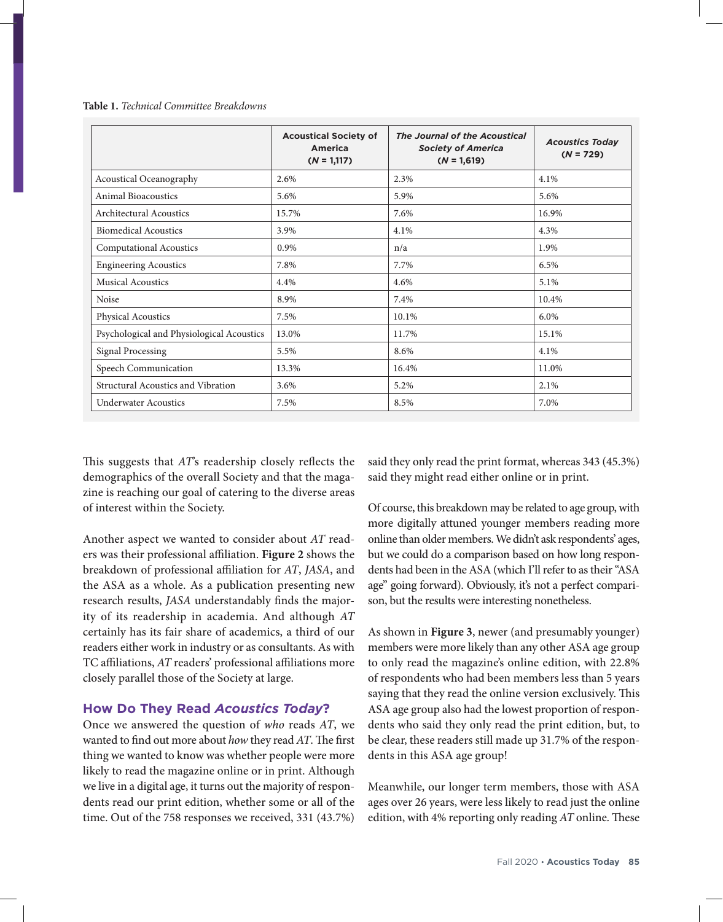|                                           | <b>Acoustical Society of</b><br><b>America</b><br>$(N = 1,117)$ | <b>The Journal of the Acoustical</b><br><b>Society of America</b><br>$(N = 1,619)$ | <b>Acoustics Today</b><br>$(N = 729)$ |
|-------------------------------------------|-----------------------------------------------------------------|------------------------------------------------------------------------------------|---------------------------------------|
| Acoustical Oceanography                   | 2.6%                                                            | 2.3%                                                                               | 4.1%                                  |
| <b>Animal Bioacoustics</b>                | 5.6%                                                            | 5.9%                                                                               | 5.6%                                  |
| <b>Architectural Acoustics</b>            | 15.7%                                                           | 7.6%                                                                               | 16.9%                                 |
| <b>Biomedical Acoustics</b>               | 3.9%                                                            | 4.1%                                                                               | 4.3%                                  |
| <b>Computational Acoustics</b>            | 0.9%                                                            | n/a                                                                                | 1.9%                                  |
| <b>Engineering Acoustics</b>              | 7.8%                                                            | 7.7%                                                                               | 6.5%                                  |
| <b>Musical Acoustics</b>                  | 4.4%                                                            | 4.6%                                                                               | 5.1%                                  |
| Noise                                     | 8.9%                                                            | 7.4%                                                                               | 10.4%                                 |
| <b>Physical Acoustics</b>                 | 7.5%                                                            | 10.1%                                                                              | 6.0%                                  |
| Psychological and Physiological Acoustics | 13.0%                                                           | 11.7%                                                                              | 15.1%                                 |
| <b>Signal Processing</b>                  | 5.5%                                                            | 8.6%                                                                               | 4.1%                                  |
| Speech Communication                      | 13.3%                                                           | 16.4%                                                                              | 11.0%                                 |
| Structural Acoustics and Vibration        | 3.6%                                                            | 5.2%                                                                               | 2.1%                                  |
| <b>Underwater Acoustics</b>               | 7.5%                                                            | 8.5%                                                                               | 7.0%                                  |

**Table 1.** *Technical Committee Breakdowns*

This suggests that *AT*'s readership closely reflects the demographics of the overall Society and that the magazine is reaching our goal of catering to the diverse areas of interest within the Society.

Another aspect we wanted to consider about *AT* readers was their professional affiliation. **Figure 2** shows the breakdown of professional affiliation for *AT*, *JASA*, and the ASA as a whole. As a publication presenting new research results, *JASA* understandably finds the majority of its readership in academia. And although *AT* certainly has its fair share of academics, a third of our readers either work in industry or as consultants. As with TC affiliations, *AT* readers' professional affiliations more closely parallel those of the Society at large.

### **How Do They Read** *Acoustics Today***?**

Once we answered the question of *who* reads *AT*, we wanted to find out more about *how* they read *AT*. The first thing we wanted to know was whether people were more likely to read the magazine online or in print. Although we live in a digital age, it turns out the majority of respondents read our print edition, whether some or all of the time. Out of the 758 responses we received, 331 (43.7%)

said they only read the print format, whereas 343 (45.3%) said they might read either online or in print.

Of course, this breakdown may be related to age group, with more digitally attuned younger members reading more online than older members. We didn't ask respondents' ages, but we could do a comparison based on how long respondents had been in the ASA (which I'll refer to as their "ASA age" going forward). Obviously, it's not a perfect comparison, but the results were interesting nonetheless.

As shown in **Figure 3**, newer (and presumably younger) members were more likely than any other ASA age group to only read the magazine's online edition, with 22.8% of respondents who had been members less than 5 years saying that they read the online version exclusively. This ASA age group also had the lowest proportion of respondents who said they only read the print edition, but, to be clear, these readers still made up 31.7% of the respondents in this ASA age group!

Meanwhile, our longer term members, those with ASA ages over 26 years, were less likely to read just the online edition, with 4% reporting only reading *AT* online. These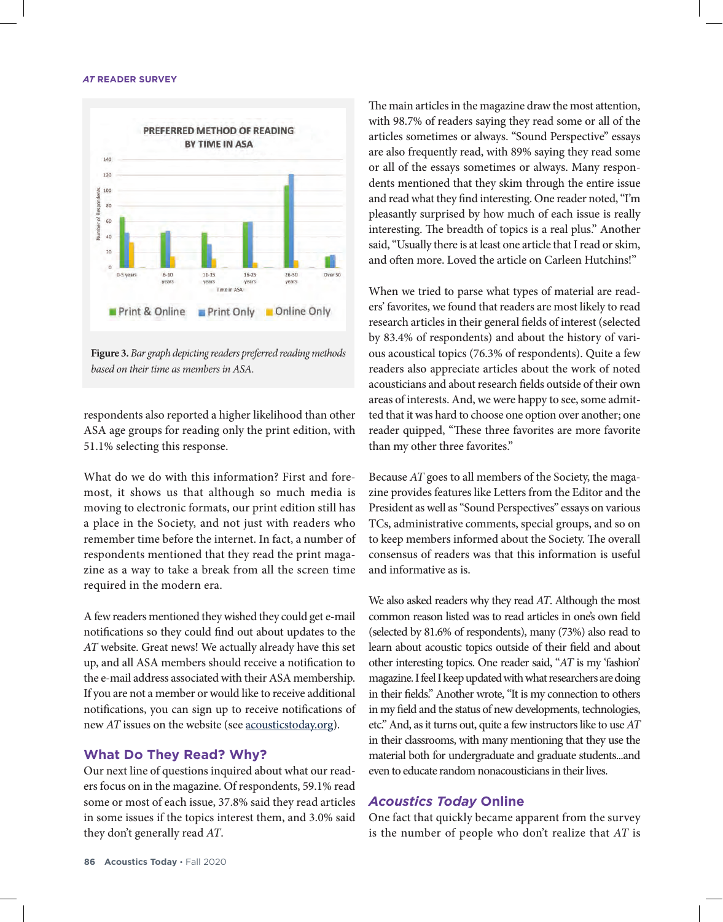#### *AT* **READER SURVEY**



**Figure 3.** *Bar graph depicting readers preferred reading methods based on their time as members in ASA.*

respondents also reported a higher likelihood than other ASA age groups for reading only the print edition, with 51.1% selecting this response.

What do we do with this information? First and foremost, it shows us that although so much media is moving to electronic formats, our print edition still has a place in the Society, and not just with readers who remember time before the internet. In fact, a number of respondents mentioned that they read the print magazine as a way to take a break from all the screen time required in the modern era.

A few readers mentioned they wished they could get e-mail notifications so they could find out about updates to the *AT* website. Great news! We actually already have this set up, and all ASA members should receive a notification to the e-mail address associated with their ASA membership. If you are not a member or would like to receive additional notifications, you can sign up to receive notifications of new *AT* issues on the website (see <u>acousticstoday.org</u>).

#### **What Do They Read? Why?**

Our next line of questions inquired about what our readers focus on in the magazine. Of respondents, 59.1% read some or most of each issue, 37.8% said they read articles in some issues if the topics interest them, and 3.0% said they don't generally read *AT*.

The main articles in the magazine draw the most attention, with 98.7% of readers saying they read some or all of the articles sometimes or always. "Sound Perspective" essays are also frequently read, with 89% saying they read some or all of the essays sometimes or always. Many respondents mentioned that they skim through the entire issue and read what they find interesting. One reader noted, "I'm pleasantly surprised by how much of each issue is really interesting. The breadth of topics is a real plus." Another said, "Usually there is at least one article that I read or skim, and often more. Loved the article on Carleen Hutchins!"

When we tried to parse what types of material are readers' favorites, we found that readers are most likely to read research articles in their general fields of interest (selected by 83.4% of respondents) and about the history of various acoustical topics (76.3% of respondents). Quite a few readers also appreciate articles about the work of noted acousticians and about research fields outside of their own areas of interests. And, we were happy to see, some admitted that it was hard to choose one option over another; one reader quipped, "These three favorites are more favorite than my other three favorites."

Because *AT* goes to all members of the Society, the magazine provides features like Letters from the Editor and the President as well as "Sound Perspectives" essays on various TCs, administrative comments, special groups, and so on to keep members informed about the Society. The overall consensus of readers was that this information is useful and informative as is.

We also asked readers why they read *AT*. Although the most common reason listed was to read articles in one's own field (selected by 81.6% of respondents), many (73%) also read to learn about acoustic topics outside of their field and about other interesting topics. One reader said, "*AT* is my 'fashion' magazine. I feel I keep updated with what researchers are doing in their fields." Another wrote, "It is my connection to others in my field and the status of new developments, technologies, etc." And, as it turns out, quite a few instructors like to use *AT* in their classrooms, with many mentioning that they use the material both for undergraduate and graduate students...and even to educate random nonacousticians in their lives.

#### *Acoustics Today* **Online**

One fact that quickly became apparent from the survey is the number of people who don't realize that *AT* is